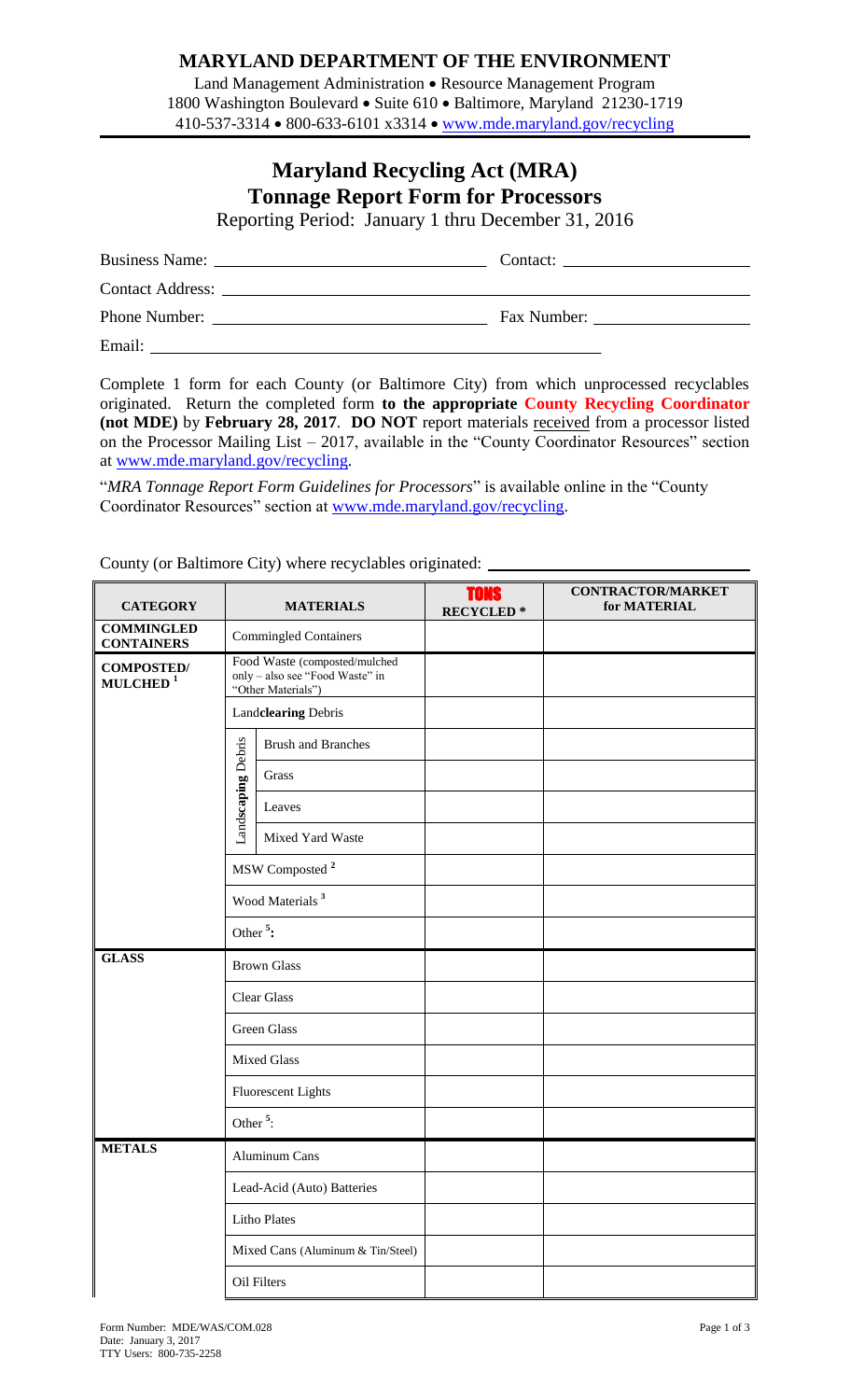## **MARYLAND DEPARTMENT OF THE ENVIRONMENT**

Land Management Administration • Resource Management Program 1800 Washington Boulevard • Suite 610 • Baltimore, Maryland 21230-1719 410-537-3314 • 800-633-6101 x3314 • www.mde.maryland.gov/recycling

## **Maryland Recycling Act (MRA) Tonnage Report Form for Processors**

Reporting Period: January 1 thru December 31, 2016

|        | Fax Number: |
|--------|-------------|
| Email: |             |

Complete 1 form for each County (or Baltimore City) from which unprocessed recyclables originated. Return the completed form **to the appropriate County Recycling Coordinator (not MDE)** by **February 28, 2017**. **DO NOT** report materials received from a processor listed on the Processor Mailing List – 2017, available in the "County Coordinator Resources" section at [www.mde.maryland.gov/recycling.](http://www.mde.maryland.gov/recycling)

"*MRA Tonnage Report Form Guidelines for Processors*" is available online in the "County Coordinator Resources" section at [www.mde.maryland.gov/recycling.](http://www.mde.maryland.gov/recycling)

**CONTRACTOR/MARKET** TONS **CATEGORY MATERIALS for MATERIAL RECYCLED \* COMMINGLED Commingled Containers** Food Waste (composted/mulched **COMPOSTED/** only – also see "Food Waste" in **MULCHED <sup>1</sup>** "Other Materials") Land**clearing** Debris Debris Brush and Branches Land**scaping** Debris Grass Landscaping Leaves Mixed Yard Waste MSW Composted **<sup>2</sup>** Wood Materials **<sup>3</sup>** Other **<sup>5</sup> : GLASS** Brown Glass Clear Glass Green Glass Mixed Glass Fluorescent Lights Other **<sup>5</sup>** : **METALS** Aluminum Cans Lead-Acid (Auto) Batteries Litho Plates Mixed Cans (Aluminum & Tin/Steel) Oil Filters

County (or Baltimore City) where recyclables originated: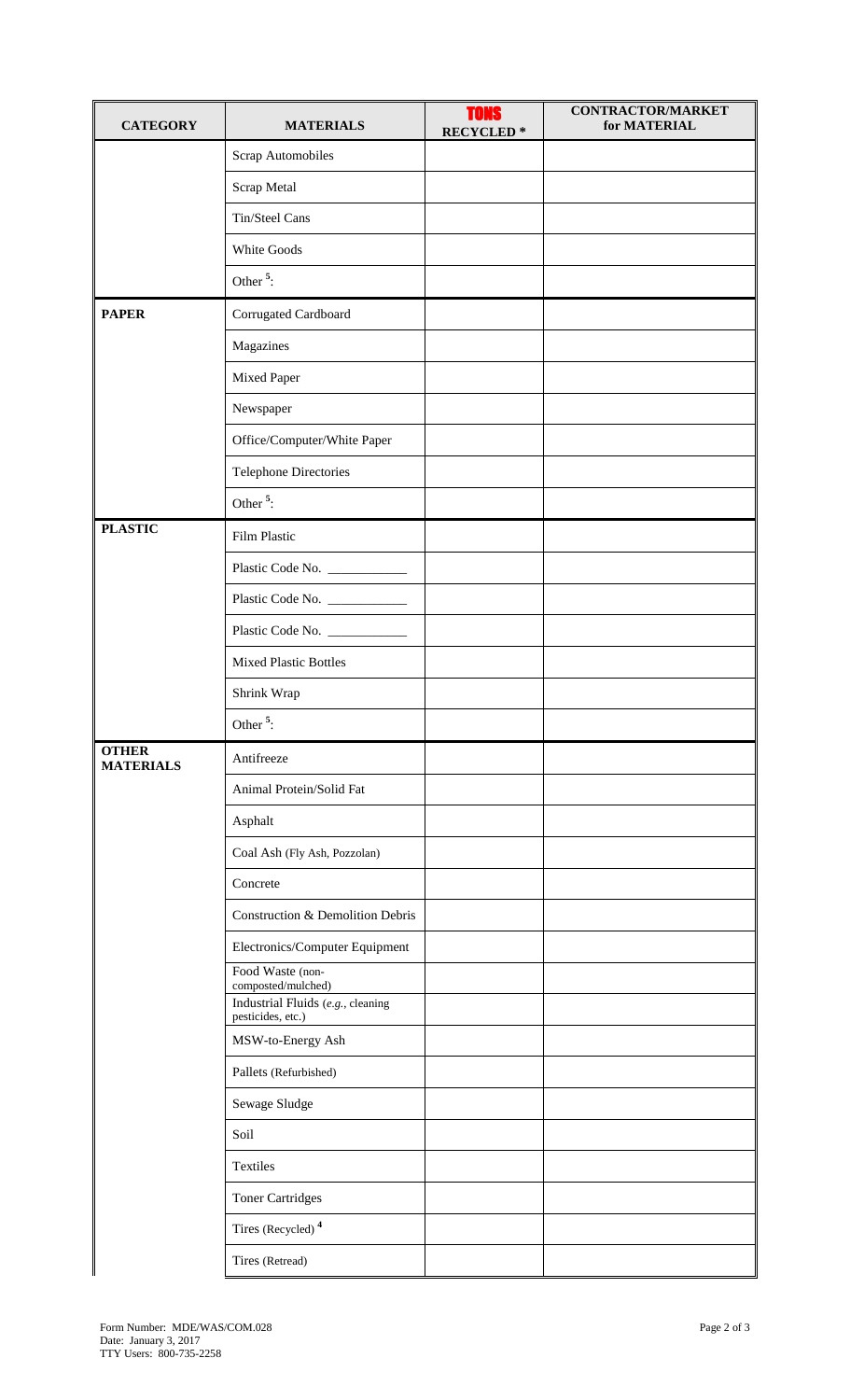| <b>CATEGORY</b>                  | <b>MATERIALS</b>                                       | <b>TONS</b><br><b>RECYCLED*</b> | <b>CONTRACTOR/MARKET</b><br>for MATERIAL |
|----------------------------------|--------------------------------------------------------|---------------------------------|------------------------------------------|
|                                  | Scrap Automobiles                                      |                                 |                                          |
|                                  | Scrap Metal                                            |                                 |                                          |
|                                  | Tin/Steel Cans                                         |                                 |                                          |
|                                  | White Goods                                            |                                 |                                          |
|                                  | Other <sup>5</sup> :                                   |                                 |                                          |
| <b>PAPER</b>                     | Corrugated Cardboard                                   |                                 |                                          |
|                                  | Magazines                                              |                                 |                                          |
|                                  | Mixed Paper                                            |                                 |                                          |
|                                  | Newspaper                                              |                                 |                                          |
|                                  | Office/Computer/White Paper                            |                                 |                                          |
|                                  | <b>Telephone Directories</b>                           |                                 |                                          |
|                                  | Other <sup><math>5</math></sup> :                      |                                 |                                          |
| <b>PLASTIC</b>                   | Film Plastic                                           |                                 |                                          |
|                                  | Plastic Code No. ___________                           |                                 |                                          |
|                                  |                                                        |                                 |                                          |
|                                  | Plastic Code No. ___________                           |                                 |                                          |
|                                  | <b>Mixed Plastic Bottles</b>                           |                                 |                                          |
|                                  | Shrink Wrap                                            |                                 |                                          |
|                                  | Other <sup>5</sup> :                                   |                                 |                                          |
| <b>OTHER</b><br><b>MATERIALS</b> | Antifreeze                                             |                                 |                                          |
|                                  | Animal Protein/Solid Fat                               |                                 |                                          |
|                                  | Asphalt                                                |                                 |                                          |
|                                  | Coal Ash (Fly Ash, Pozzolan)                           |                                 |                                          |
|                                  | Concrete                                               |                                 |                                          |
|                                  | Construction & Demolition Debris                       |                                 |                                          |
|                                  | Electronics/Computer Equipment                         |                                 |                                          |
|                                  | Food Waste (non-<br>composted/mulched)                 |                                 |                                          |
|                                  | Industrial Fluids (e.g., cleaning<br>pesticides, etc.) |                                 |                                          |
|                                  | MSW-to-Energy Ash                                      |                                 |                                          |
|                                  | Pallets (Refurbished)                                  |                                 |                                          |
|                                  | Sewage Sludge                                          |                                 |                                          |
|                                  | Soil                                                   |                                 |                                          |
|                                  | Textiles                                               |                                 |                                          |
|                                  | <b>Toner Cartridges</b>                                |                                 |                                          |
|                                  | Tires (Recycled) <sup>4</sup>                          |                                 |                                          |
|                                  | Tires (Retread)                                        |                                 |                                          |